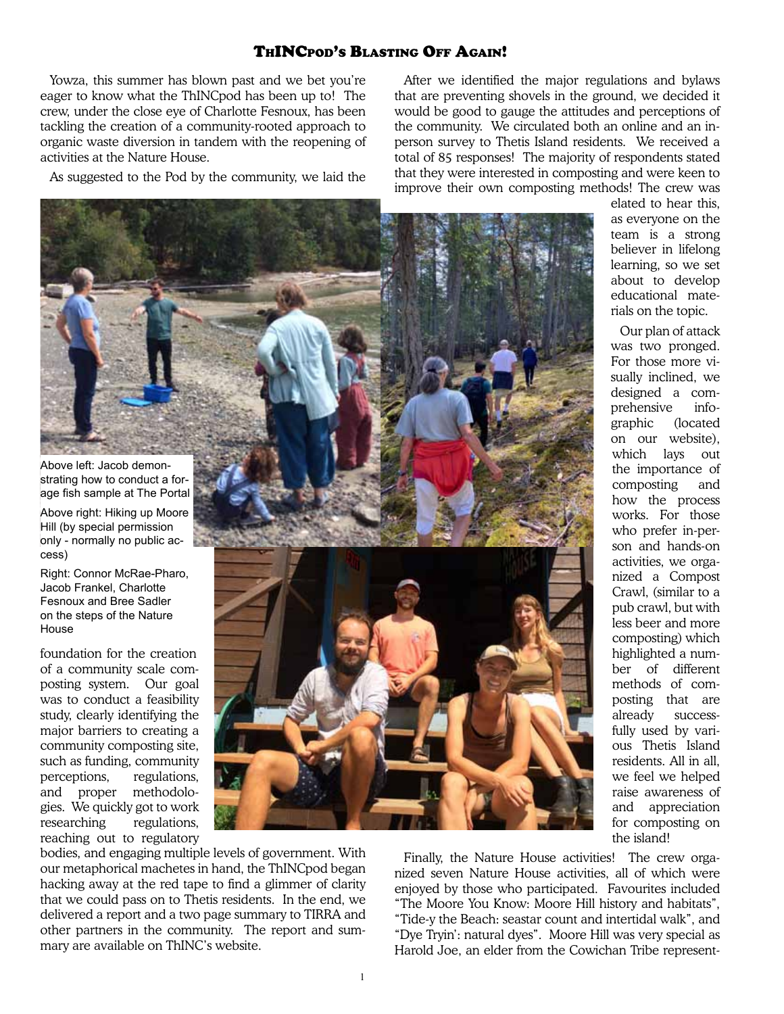## ThINCpod's Blasting Off Again!

Yowza, this summer has blown past and we bet you're eager to know what the ThINCpod has been up to! The crew, under the close eye of Charlotte Fesnoux, has been tackling the creation of a community-rooted approach to organic waste diversion in tandem with the reopening of activities at the Nature House.

As suggested to the Pod by the community, we laid the

After we identified the major regulations and bylaws that are preventing shovels in the ground, we decided it would be good to gauge the attitudes and perceptions of the community. We circulated both an online and an inperson survey to Thetis Island residents. We received a total of 85 responses! The majority of respondents stated that they were interested in composting and were keen to improve their own composting methods! The crew was



elated to hear this, as everyone on the team is a strong believer in lifelong learning, so we set about to develop educational materials on the topic.

Our plan of attack was two pronged. For those more visually inclined, we designed a comprehensive infographic (located on our website), which lays out the importance of composting and how the process works. For those who prefer in-person and hands-on activities, we organized a Compost Crawl, (similar to a pub crawl, but with less beer and more composting) which highlighted a number of different methods of composting that are already successfully used by various Thetis Island residents. All in all, we feel we helped raise awareness of and appreciation for composting on the island!

bodies, and engaging multiple levels of government. With our metaphorical machetes in hand, the ThINCpod began hacking away at the red tape to find a glimmer of clarity that we could pass on to Thetis residents. In the end, we delivered a report and a two page summary to TIRRA and other partners in the community. The report and summary are available on ThINC's website.

cess)

House

Finally, the Nature House activities! The crew organized seven Nature House activities, all of which were enjoyed by those who participated. Favourites included "The Moore You Know: Moore Hill history and habitats", "Tide-y the Beach: seastar count and intertidal walk", and "Dye Tryin': natural dyes". Moore Hill was very special as Harold Joe, an elder from the Cowichan Tribe represent